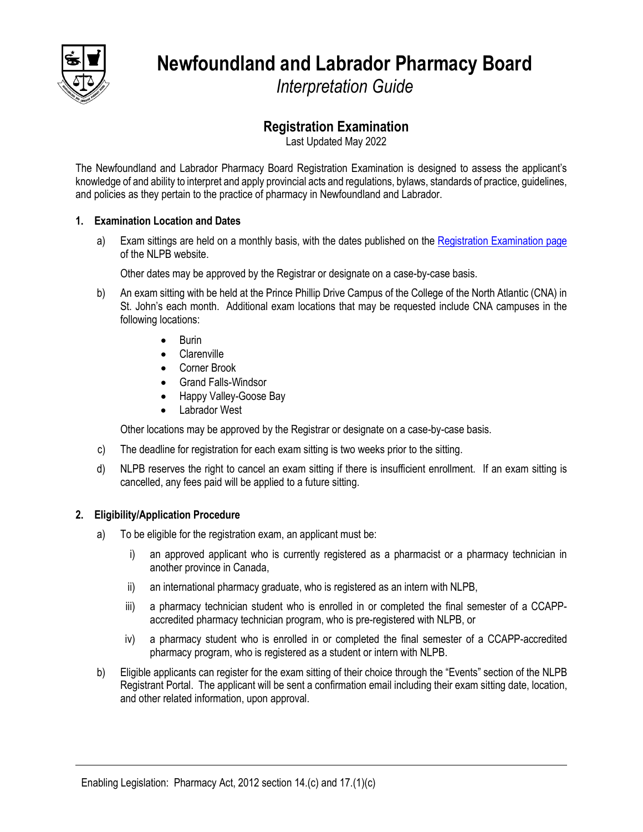

**Newfoundland and Labrador Pharmacy Board**

*Interpretation Guide*

# **Registration Examination**

Last Updated May 2022

The Newfoundland and Labrador Pharmacy Board Registration Examination is designed to assess the applicant's knowledge of and ability to interpret and apply provincial acts and regulations, bylaws, standards of practice, guidelines, and policies as they pertain to the practice of pharmacy in Newfoundland and Labrador.

# **1. Examination Location and Dates**

a) Exam sittings are held on a monthly basis, with the dates published on th[e Registration Examination page](https://nlpb.ca/registration-and-licensing/registration-exam/) of the NLPB website.

Other dates may be approved by the Registrar or designate on a case-by-case basis.

- b) An exam sitting with be held at the Prince Phillip Drive Campus of the College of the North Atlantic (CNA) in St. John's each month. Additional exam locations that may be requested include CNA campuses in the following locations:
	- Burin
	- **Clarenville**
	- Corner Brook
	- Grand Falls-Windsor
	- Happy Valley-Goose Bay
	- Labrador West

Other locations may be approved by the Registrar or designate on a case-by-case basis.

- c) The deadline for registration for each exam sitting is two weeks prior to the sitting.
- d) NLPB reserves the right to cancel an exam sitting if there is insufficient enrollment. If an exam sitting is cancelled, any fees paid will be applied to a future sitting.

# **2. Eligibility/Application Procedure**

- a) To be eligible for the registration exam, an applicant must be:
	- i) an approved applicant who is currently registered as a pharmacist or a pharmacy technician in another province in Canada,
	- ii) an international pharmacy graduate, who is registered as an intern with NLPB,
	- iii) a pharmacy technician student who is enrolled in or completed the final semester of a CCAPPaccredited pharmacy technician program, who is pre-registered with NLPB, or
	- iv) a pharmacy student who is enrolled in or completed the final semester of a CCAPP-accredited pharmacy program, who is registered as a student or intern with NLPB.
- b) Eligible applicants can register for the exam sitting of their choice through the "Events" section of the NLPB Registrant Portal. The applicant will be sent a confirmation email including their exam sitting date, location, and other related information, upon approval.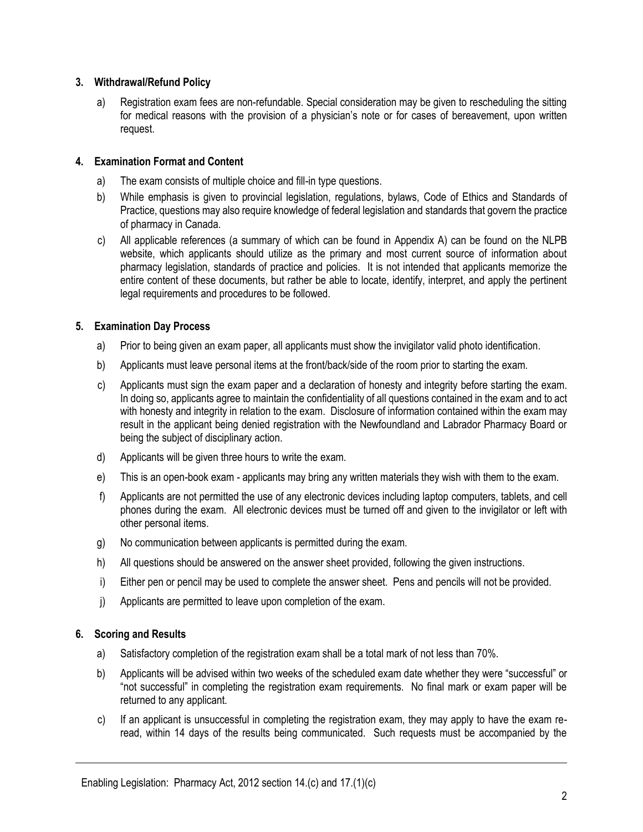# **3. Withdrawal/Refund Policy**

a) Registration exam fees are non-refundable. Special consideration may be given to rescheduling the sitting for medical reasons with the provision of a physician's note or for cases of bereavement, upon written request.

# **4. Examination Format and Content**

- a) The exam consists of multiple choice and fill-in type questions.
- b) While emphasis is given to provincial legislation, regulations, bylaws, Code of Ethics and Standards of Practice, questions may also require knowledge of federal legislation and standards that govern the practice of pharmacy in Canada.
- c) All applicable references (a summary of which can be found in Appendix A) can be found on the NLPB website, which applicants should utilize as the primary and most current source of information about pharmacy legislation, standards of practice and policies. It is not intended that applicants memorize the entire content of these documents, but rather be able to locate, identify, interpret, and apply the pertinent legal requirements and procedures to be followed.

# **5. Examination Day Process**

- a) Prior to being given an exam paper, all applicants must show the invigilator valid photo identification.
- b) Applicants must leave personal items at the front/back/side of the room prior to starting the exam.
- c) Applicants must sign the exam paper and a declaration of honesty and integrity before starting the exam. In doing so, applicants agree to maintain the confidentiality of all questions contained in the exam and to act with honesty and integrity in relation to the exam. Disclosure of information contained within the exam may result in the applicant being denied registration with the Newfoundland and Labrador Pharmacy Board or being the subject of disciplinary action.
- d) Applicants will be given three hours to write the exam.
- e) This is an open-book exam applicants may bring any written materials they wish with them to the exam.
- f) Applicants are not permitted the use of any electronic devices including laptop computers, tablets, and cell phones during the exam. All electronic devices must be turned off and given to the invigilator or left with other personal items.
- g) No communication between applicants is permitted during the exam.
- h) All questions should be answered on the answer sheet provided, following the given instructions.
- i) Either pen or pencil may be used to complete the answer sheet. Pens and pencils will not be provided.
- j) Applicants are permitted to leave upon completion of the exam.

### **6. Scoring and Results**

- a) Satisfactory completion of the registration exam shall be a total mark of not less than 70%.
- b) Applicants will be advised within two weeks of the scheduled exam date whether they were "successful" or "not successful" in completing the registration exam requirements. No final mark or exam paper will be returned to any applicant.
- c) If an applicant is unsuccessful in completing the registration exam, they may apply to have the exam reread, within 14 days of the results being communicated. Such requests must be accompanied by the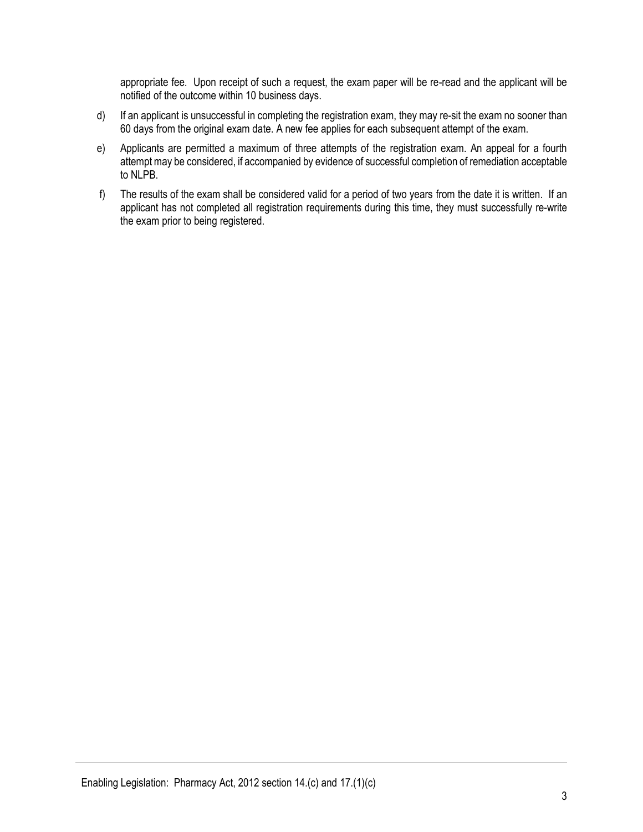appropriate fee. Upon receipt of such a request, the exam paper will be re-read and the applicant will be notified of the outcome within 10 business days.

- d) If an applicant is unsuccessful in completing the registration exam, they may re-sit the exam no sooner than 60 days from the original exam date. A new fee applies for each subsequent attempt of the exam.
- e) Applicants are permitted a maximum of three attempts of the registration exam. An appeal for a fourth attempt may be considered, if accompanied by evidence of successful completion of remediation acceptable to NLPB.
- f) The results of the exam shall be considered valid for a period of two years from the date it is written. If an applicant has not completed all registration requirements during this time, they must successfully re-write the exam prior to being registered.